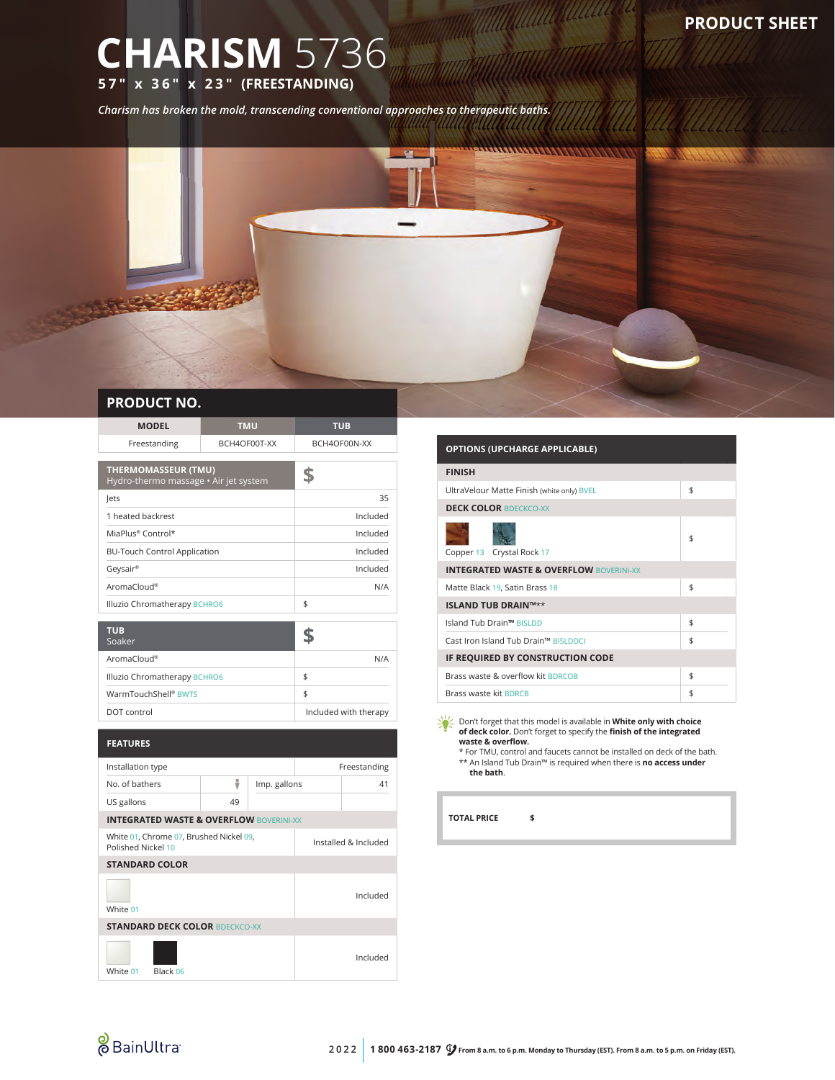## **CHARISM** 5736 **57" x 36" x 23" (FREESTANDING)**

*Charism has broken the mold, transcending conventional approaches to therapeutic baths.*



## **PRODUCT NO.**

| <b>MODEL</b>                                                  | <b>TMU</b>            |              | <b>TUB</b>           |              |  |  |  |
|---------------------------------------------------------------|-----------------------|--------------|----------------------|--------------|--|--|--|
| Freestanding                                                  |                       | BCH4OF00T-XX | BCH4OF00N-XX         |              |  |  |  |
| <b>THERMOMASSEUR (TMU)</b>                                    |                       |              |                      |              |  |  |  |
| Hydro-thermo massage · Air jet system                         | \$                    |              |                      |              |  |  |  |
| lets                                                          |                       | 35           |                      |              |  |  |  |
| 1 heated backrest                                             | Included              |              |                      |              |  |  |  |
| MiaPlus® Control*                                             | Included              |              |                      |              |  |  |  |
| <b>BU-Touch Control Application</b>                           | Included              |              |                      |              |  |  |  |
| Geysair®                                                      | Included              |              |                      |              |  |  |  |
| AromaCloud®                                                   | N/A                   |              |                      |              |  |  |  |
| Illuzio Chromatherapy BCHRO6                                  | \$                    |              |                      |              |  |  |  |
| <b>TUB</b>                                                    |                       |              |                      |              |  |  |  |
| Soaker                                                        |                       |              | \$                   |              |  |  |  |
| AromaCloud®                                                   |                       |              |                      | N/A          |  |  |  |
| Illuzio Chromatherapy BCHRO6                                  | \$                    |              |                      |              |  |  |  |
| WarmTouchShell® BWTS                                          | \$                    |              |                      |              |  |  |  |
| DOT control                                                   | Included with therapy |              |                      |              |  |  |  |
|                                                               |                       |              |                      |              |  |  |  |
| <b>FEATURES</b>                                               |                       |              |                      |              |  |  |  |
| Installation type                                             |                       |              |                      | Freestanding |  |  |  |
| No. of bathers                                                | ÷                     | Imp. gallons |                      | 41           |  |  |  |
| US gallons                                                    | 49                    |              |                      |              |  |  |  |
| <b>INTEGRATED WASTE &amp; OVERFLOW BOVERINI-XX</b>            |                       |              |                      |              |  |  |  |
| White 01, Chrome 07, Brushed Nickel 09,<br>Polished Nickel 10 |                       |              | Installed & Included |              |  |  |  |

| <b>OPTIONS (UPCHARGE APPLICABLE)</b>               |    |  |  |  |  |
|----------------------------------------------------|----|--|--|--|--|
| <b>FINISH</b>                                      |    |  |  |  |  |
| UltraVelour Matte Finish (white only) BVEL         | \$ |  |  |  |  |
| <b>DECK COLOR BDECKCO-XX</b>                       |    |  |  |  |  |
| Copper 13 Crystal Rock 17                          | \$ |  |  |  |  |
| <b>INTEGRATED WASTE &amp; OVERFLOW BOVERINI-XX</b> |    |  |  |  |  |
| \$<br>Matte Black 19, Satin Brass 18               |    |  |  |  |  |
| <b>ISLAND TUB DRAIN™**</b>                         |    |  |  |  |  |
| Island Tub Drain™ BISLDD                           | \$ |  |  |  |  |
| Cast Iron Island Tub Drain™ BISLDDCI               | \$ |  |  |  |  |
| IF REQUIRED BY CONSTRUCTION CODE                   |    |  |  |  |  |
| Brass waste & overflow kit BDRCOB                  | \$ |  |  |  |  |
| Brass waste kit BDRCB                              | \$ |  |  |  |  |

<u> Milliann ann an 1977.</u>

Don't forget that this model is available in **White only with choice of deck color.** Don't forget to specify the **finish of the integrated waste & overflow.** \* For TMU, control and faucets cannot be installed on deck of the bath.

\*\* An Island Tub Drain™ is required when there is **no access under the bath**.

**TOTAL PRICE \$**

Included

Included